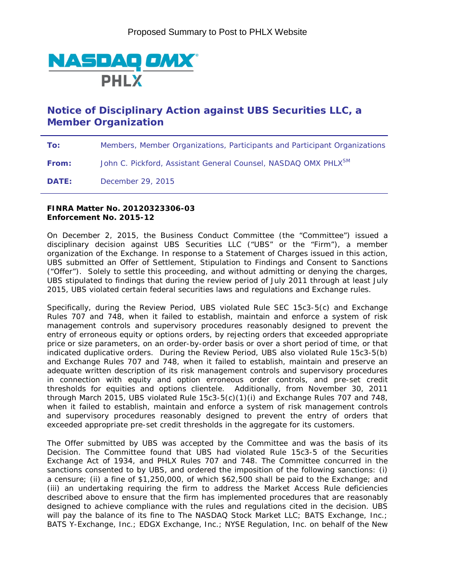

## **Notice of Disciplinary Action against UBS Securities LLC, a Member Organization**

**To:** Members, Member Organizations, Participants and Participant Organizations

**From:** John C. Pickford, Assistant General Counsel, NASDAQ OMX PHLX<sup>SM</sup>

**DATE:** December 29, 2015

## **FINRA Matter No. 20120323306-03 Enforcement No. 2015-12**

On December 2, 2015, the Business Conduct Committee (the "Committee") issued a disciplinary decision against UBS Securities LLC ("UBS" or the "Firm"), a member organization of the Exchange. In response to a Statement of Charges issued in this action, UBS submitted an Offer of Settlement, Stipulation to Findings and Consent to Sanctions ("Offer"). Solely to settle this proceeding, and without admitting or denying the charges, UBS stipulated to findings that during the review period of July 2011 through at least July 2015, UBS violated certain federal securities laws and regulations and Exchange rules.

Specifically, during the Review Period, UBS violated Rule SEC 15c3-5(c) and Exchange Rules 707 and 748, when it failed to establish, maintain and enforce a system of risk management controls and supervisory procedures reasonably designed to prevent the entry of erroneous equity or options orders, by rejecting orders that exceeded appropriate price or size parameters, on an order-by-order basis or over a short period of time, or that indicated duplicative orders. During the Review Period, UBS also violated Rule 15c3-5(b) and Exchange Rules 707 and 748, when it failed to establish, maintain and preserve an adequate written description of its risk management controls and supervisory procedures in connection with equity and option erroneous order controls, and pre-set credit thresholds for equities and options clientele. Additionally, from November 30, 2011 through March 2015, UBS violated Rule 15c3-5(c)(1)(i) and Exchange Rules 707 and 748, when it failed to establish, maintain and enforce a system of risk management controls and supervisory procedures reasonably designed to prevent the entry of orders that exceeded appropriate pre-set credit thresholds in the aggregate for its customers.

The Offer submitted by UBS was accepted by the Committee and was the basis of its Decision. The Committee found that UBS had violated Rule 15c3-5 of the Securities Exchange Act of 1934, and PHLX Rules 707 and 748. The Committee concurred in the sanctions consented to by UBS, and ordered the imposition of the following sanctions: (i) a censure; (ii) a fine of \$1,250,000, of which \$62,500 shall be paid to the Exchange; and (iii) an undertaking requiring the firm to address the Market Access Rule deficiencies described above to ensure that the firm has implemented procedures that are reasonably designed to achieve compliance with the rules and regulations cited in the decision. UBS will pay the balance of its fine to The NASDAQ Stock Market LLC; BATS Exchange, Inc.; BATS Y-Exchange, Inc.; EDGX Exchange, Inc.; NYSE Regulation, Inc. on behalf of the New